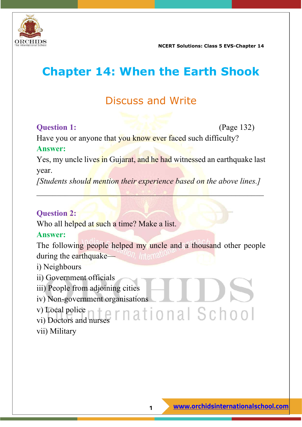

# **Chapter 14: When the Earth Shook**

# Discuss and Write

#### **Question 1:** (Page 132)

Have you or anyone that you know ever faced such difficulty?

#### **Answer:**

Yes, my uncle lives in Gujarat, and he had witnessed an earthquake last year.

*[Students should mention their experience based on the above lines.]*

 $\blacksquare$ 

#### **Question 2:**

Who all helped at such a time? Make a list.

#### **Answer:**

The following people helped my uncle and a thousand other people during the earthquake—*ANON*, Internal

- i) Neighbours
- ii) Government officials
- iii) People from adjoining cities
- iv) Non-government organisations

v) Local police vi) Doctors and nurses vii) Military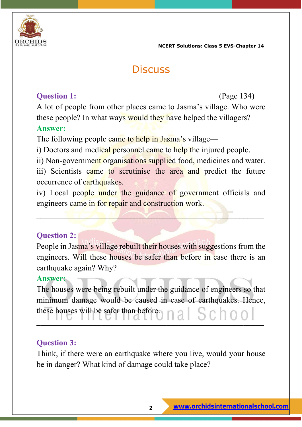

# **Discuss**

#### **Question 1:** (Page 134)

A lot of people from other places came to Jasma's village. Who were these people? In what ways would they have helped the villagers? **Answer:**

The following people came to help in Jasma's village—

i) Doctors and medical personnel came to help the injured people.

ii) Non-government organisations supplied food, medicines and water.

iii) Scientists came to scrutinise the area and predict the future occurrence of earthquakes.

iv) Local people under the guidance of government officials and engineers came in for repair and construction work.

 $\blacksquare$ 

#### **Question 2:**

People in Jasma's village rebuilt their houses with suggestions from the engineers. Will these houses be safer than before in case there is an earthquake again? Why?

#### **Answer:**

The houses were being rebuilt under the guidance of engineers so that minimum damage would be caused in case of earthquakes. Hence, these houses will be safer than before. \_\_\_\_\_\_\_\_\_\_\_\_\_\_\_\_\_\_\_\_\_\_\_\_\_\_\_\_\_\_\_\_\_\_\_\_\_\_\_\_\_\_\_\_\_\_\_\_\_\_\_\_\_\_\_\_

#### **Question 3:**

Think, if there were an earthquake where you live, would your house be in danger? What kind of damage could take place?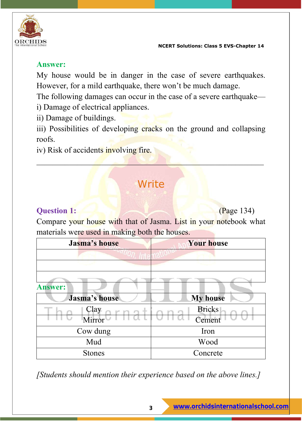

#### **Answer:**

My house would be in danger in the case of severe earthquakes. However, for a mild earthquake, there won't be much damage.

The following damages can occur in the case of a severe earthquake i) Damage of electrical appliances.

ii) Damage of buildings.

iii) Possibilities of developing cracks on the ground and collapsing roofs.

iv) Risk of accidents involving fire.

# **Write**

\_\_\_\_\_\_\_\_\_\_\_\_\_\_\_\_\_\_\_\_\_\_\_\_\_\_\_\_\_\_\_\_\_\_\_\_\_\_\_\_\_\_\_\_\_\_\_\_\_\_\_\_\_\_\_\_

#### **Question 1:** (Page 134)

Compare your house with that of Jasma. List in your notebook what materials were used in making both the houses.

| <b>Jasma's house</b> | <b>Your house</b> |  |
|----------------------|-------------------|--|
|                      |                   |  |
|                      |                   |  |
|                      |                   |  |
| <b>Answer:</b>       |                   |  |
| Jasma's house        | <b>My house</b>   |  |
| Clay                 | <b>Bricks</b>     |  |
| Mirror               | Cement            |  |
| Cow dung             | Iron              |  |
| Mud                  | Wood              |  |
| <b>Stones</b>        | Concrete          |  |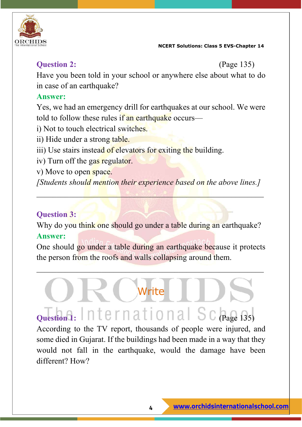

#### **Question 2:** (Page 135)

Have you been told in your school or anywhere else about what to do in case of an earthquake?

#### **Answer:**

Yes, we had an emergency drill for earthquakes at our school. We were told to follow these rules if an earthquake occurs—

- i) Not to touch electrical switches.
- ii) Hide under a strong table.
- iii) Use stairs instead of elevators for exiting the building.
- iv) Turn off the gas regulator.
- v) Move to open space.

*[Students should mention their experience based on the above lines.]*

\_\_\_\_\_\_\_\_\_\_\_\_\_\_\_\_\_\_\_\_\_\_\_\_\_\_\_\_\_\_\_\_\_\_\_\_\_\_\_\_\_\_\_\_\_\_\_\_\_\_\_\_\_\_\_\_

#### **Question 3:**

Why do you think one should go under a table during an earthquake? **Answer:**

One should go under a table during an earthquake because it protects the person from the roofs and walls collapsing around them.

 $\overline{\phantom{a}}$  , and the contribution of the contribution of the contribution of the contribution of the contribution of the contribution of the contribution of the contribution of the contribution of the contribution of the

Write

# **Question 1:** International Schage 135)

According to the TV report, thousands of people were injured, and some died in Gujarat. If the buildings had been made in a way that they would not fall in the earthquake, would the damage have been different? How?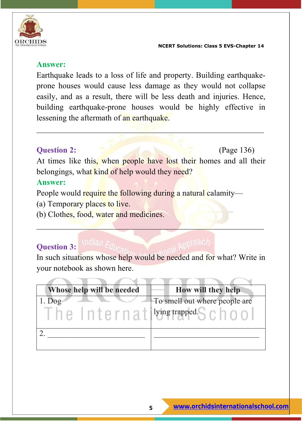

#### **Answer:**

Earthquake leads to a loss of life and property. Building earthquakeprone houses would cause less damage as they would not collapse easily, and as a result, there will be less death and injuries. Hence, building earthquake-prone houses would be highly effective in lessening the aftermath of an earthquake.

 $\mathcal{L}_\mathcal{L} = \mathcal{L}_\mathcal{L} = \mathcal{L}_\mathcal{L} = \mathcal{L}_\mathcal{L} = \mathcal{L}_\mathcal{L} = \mathcal{L}_\mathcal{L} = \mathcal{L}_\mathcal{L} = \mathcal{L}_\mathcal{L} = \mathcal{L}_\mathcal{L} = \mathcal{L}_\mathcal{L} = \mathcal{L}_\mathcal{L} = \mathcal{L}_\mathcal{L} = \mathcal{L}_\mathcal{L} = \mathcal{L}_\mathcal{L} = \mathcal{L}_\mathcal{L} = \mathcal{L}_\mathcal{L} = \mathcal{L}_\mathcal{L}$ 

#### **Question 2:** (Page 136)

At times like this, when people have lost their homes and all their belongings, what kind of help would they need?

#### **Answer:**

People would require the following during a natural calamity—

- (a) Temporary places to live.
- (b) Clothes, food, water and medicines.

## **Question 3:**

In such situations whose help would be needed and for what? Write in your notebook as shown here.

 $\mathcal{L} = \mathcal{L} \mathcal{L} = \mathcal{L} \mathcal{L}$ 

| Whose help will be needed | How will they help                                                |
|---------------------------|-------------------------------------------------------------------|
| $1.$ Dog                  | To smell out where people are<br>he Internativing trapped. School |
|                           |                                                                   |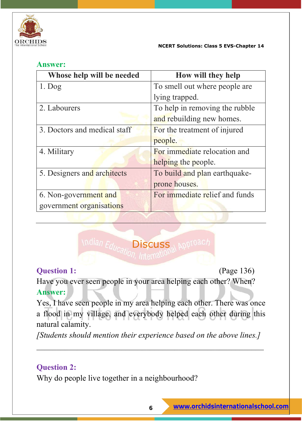

#### **Answer:**

| Whose help will be needed    | How will they help             |  |
|------------------------------|--------------------------------|--|
| $1.$ Dog                     | To smell out where people are  |  |
|                              | lying trapped.                 |  |
| 2. Labourers                 | To help in removing the rubble |  |
|                              | and rebuilding new homes.      |  |
| 3. Doctors and medical staff | For the treatment of injured   |  |
|                              | people.                        |  |
| 4. Military                  | For immediate relocation and   |  |
|                              | helping the people.            |  |
| 5. Designers and architects  | To build and plan earthquake-  |  |
|                              | prone houses.                  |  |
| 6. Non-government and        | For immediate relief and funds |  |
| government organisations     |                                |  |



#### **Question 1:** (Page 136)

Have you ever seen people in your area helping each other? When? **Answer:**

Yes, I have seen people in my area helping each other. There was once a flood in my village, and everybody helped each other during this natural calamity.

*[Students should mention their experience based on the above lines.]*

 $\overline{a}$  , and the contribution of the contribution of the contribution of the contribution of the contribution of the contribution of the contribution of the contribution of the contribution of the contribution of the co

### **Question 2:**

Why do people live together in a neighbourhood?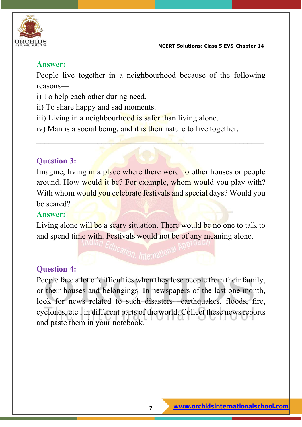

#### **Answer:**

People live together in a neighbourhood because of the following reasons—

- i) To help each other during need.
- ii) To share happy and sad moments.
- iii) Living in a neighbourhood is safer than living alone.
- iv) Man is a social being, and it is their nature to live together.

#### **Question 3:**

Imagine, living in a place where there were no other houses or people around. How would it be? For example, whom would you play with? With whom would you celebrate festivals and special days? Would you be scared?

 $\mathcal{L}=\mathcal{L}=\mathcal{L}=\mathcal{L}=\mathcal{L}=\mathcal{L}=\mathcal{L}=\mathcal{L}=\mathcal{L}=\mathcal{L}=\mathcal{L}=\mathcal{L}=\mathcal{L}=\mathcal{L}=\mathcal{L}=\mathcal{L}=\mathcal{L}=\mathcal{L}=\mathcal{L}=\mathcal{L}=\mathcal{L}=\mathcal{L}=\mathcal{L}=\mathcal{L}=\mathcal{L}=\mathcal{L}=\mathcal{L}=\mathcal{L}=\mathcal{L}=\mathcal{L}=\mathcal{L}=\mathcal{L}=\mathcal{L}=\mathcal{L}=\mathcal{L}=\mathcal{L}=\mathcal{$ 

#### **Answer:**

Living alone will be a scary situation. There would be no one to talk to and spend time with. Festivals would not be of any meaning alone.

#### **Question 4:**

People face a lot of difficulties when they lose people from their family, or their houses and belongings. In newspapers of the last one month, look for news related to such disasters—earthquakes, floods, fire, cyclones, etc., in different parts of the world. Collect these news reports and paste them in your notebook.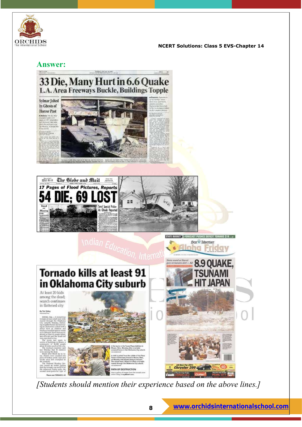

### **International School**<br>The International School **School**

#### **Answer:**







At least 20 kids among the dead; search continues in flattened city

#### by first falley





Star & Advertiser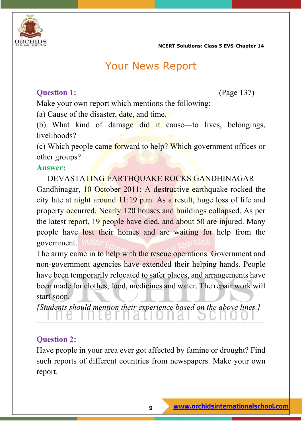

## Your News Report

#### **Question 1:** (Page 137)

Make your own report which mentions the following:

(a) Cause of the disaster, date, and time.

(b) What kind of damage did it cause—to lives, belongings, livelihoods?

(c) Which people came forward to help? Which government offices or other groups?

#### **Answer:**

DEVASTATING EARTHQUAKE ROCKS GANDHINAGAR

Gandhinagar, 10 October 2011: A destructive earthquake rocked the city late at night around 11:19 p.m. As a result, huge loss of life and property occurred. Nearly 120 houses and buildings collapsed. As per the latest report, 19 people have died, and about 50 are injured. Many people have lost their homes and are waiting for help from the government.

The army came in to help with the rescue operations. Government and non-government agencies have extended their helping hands. People have been temporarily relocated to safer places, and arrangements have been made for clothes, food, medicines and water. The repair work will start soon.

*[Students should mention their experience based on the above lines.]*

\_\_\_\_\_\_\_\_\_\_\_\_\_\_\_\_\_\_\_\_\_\_\_\_\_\_\_\_\_\_\_\_\_\_\_\_\_\_\_\_\_\_\_\_\_\_\_\_\_\_\_\_\_\_\_\_

#### **Question 2:**

Have people in your area ever got affected by famine or drought? Find such reports of different countries from newspapers. Make your own report.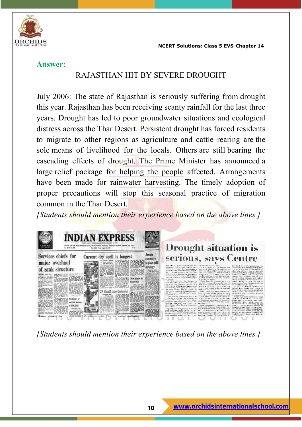

#### **Answer:**

#### RAJASTHAN HIT BY SEVERE DROUGHT

July 2006: The state of Rajasthan is seriously suffering from drought this year. Rajasthan has been receiving scanty rainfall for the last three years. Drought has led to poor groundwater situations and ecological distress across the Thar Desert. Persistent drought has forced residents to migrate to other regions as agriculture and cattle rearing are the sole means of livelihood for the locals. Others are still bearing the cascading effects of drought. The Prime Minister has announced a large relief package for helping the people affected. Arrangements have been made for rainwater harvesting. The timely adoption of proper precautions will stop this seasonal practice of migration common in the Thar Desert.

*[Students should mention their experience based on the above lines.]*

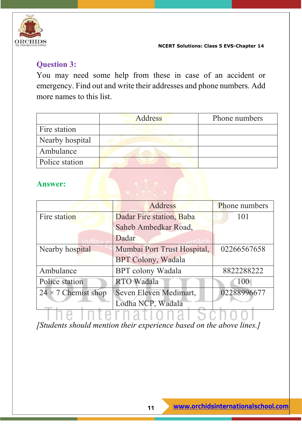

#### **Question 3:**

You may need some help from these in case of an accident or emergency. Find out and write their addresses and phone numbers. Add more names to this list.

|                 | Address | Phone numbers |
|-----------------|---------|---------------|
| Fire station    |         |               |
| Nearby hospital |         |               |
| Ambulance       |         |               |
| Police station  |         |               |

#### **Answer:**

|                            | Address                     | <b>Phone numbers</b> |
|----------------------------|-----------------------------|----------------------|
| Fire station               | Dadar Fire station, Baba    | 101                  |
|                            | Saheb Ambedkar Road,        |                      |
|                            | Dadar                       |                      |
| Nearby hospital            | Mumbai Port Trust Hospital, | 02266567658          |
|                            | <b>BPT Colony, Wadala</b>   |                      |
| Ambulance                  | <b>BPT</b> colony Wadala    | 8822288222           |
| Police station             | <b>RTO Wadala</b>           | 100                  |
| $24 \times 7$ Chemist shop | Seven Eleven Medimart,      | 02288996677          |
|                            | Lodha NCP, Wadala           |                      |

The International School *[Students should mention their experience based on the above lines.]*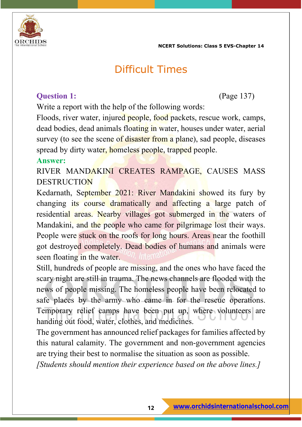

## Difficult Times

#### **Question 1:** (Page 137)

Write a report with the help of the following words:

Floods, river water, injured people, food packets, rescue work, camps, dead bodies, dead animals floating in water, houses under water, aerial survey (to see the scene of disaster from a plane), sad people, diseases spread by dirty water, homeless people, trapped people.

#### **Answer:**

RIVER MANDAKINI CREATES RAMPAGE, CAUSES MASS **DESTRUCTION** 

Kedarnath, September 2021: River Mandakini showed its fury by changing its course dramatically and affecting a large patch of residential areas. Nearby villages got submerged in the waters of Mandakini, and the people who came for pilgrimage lost their ways. People were stuck on the roofs for long hours. Areas near the foothill got destroyed completely. Dead bodies of humans and animals were seen floating in the water.

Still, hundreds of people are missing, and the ones who have faced the scary night are still in trauma. The news channels are flooded with the news of people missing. The homeless people have been relocated to safe places by the army who came in for the rescue operations. Temporary relief camps have been put up, where volunteers are handing out food, water, clothes, and medicines.

The government has announced relief packages for families affected by this natural calamity. The government and non-government agencies are trying their best to normalise the situation as soon as possible.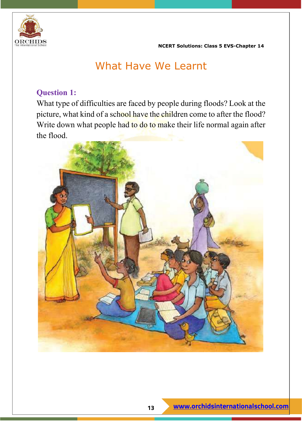

# What Have We Learnt

#### **Question 1:**

What type of difficulties are faced by people during floods? Look at the picture, what kind of a school have the children come to after the flood? Write down what people had to do to make their life normal again after the flood.